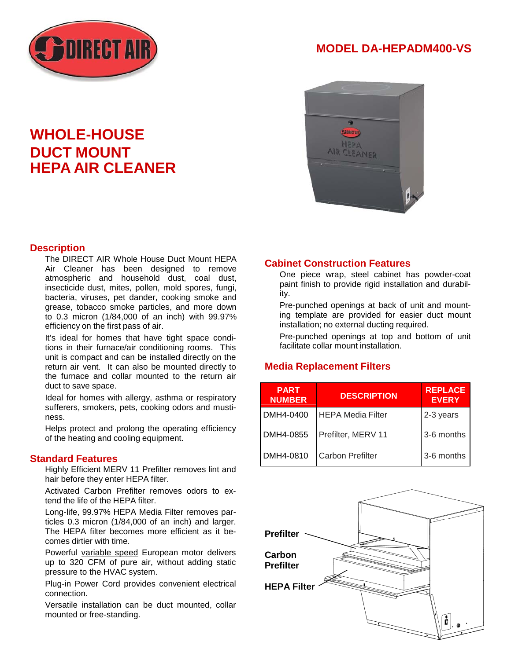

## **MODEL DA-HEPADM400-VS**



# **WHOLE-HOUSE DUCT MOUNT HEPA AIR CLEANER**

#### **Description**

The DIRECT AIR Whole House Duct Mount HEPA Air Cleaner has been designed to remove atmospheric and household dust, coal dust, insecticide dust, mites, pollen, mold spores, fungi, bacteria, viruses, pet dander, cooking smoke and grease, tobacco smoke particles, and more down to 0.3 micron (1/84,000 of an inch) with 99.97% efficiency on the first pass of air.

It's ideal for homes that have tight space conditions in their furnace/air conditioning rooms. This unit is compact and can be installed directly on the return air vent. It can also be mounted directly to the furnace and collar mounted to the return air duct to save space.

Ideal for homes with allergy, asthma or respiratory sufferers, smokers, pets, cooking odors and mustiness.

Helps protect and prolong the operating efficiency of the heating and cooling equipment.

#### **Standard Features**

Highly Efficient MERV 11 Prefilter removes lint and hair before they enter HEPA filter.

Activated Carbon Prefilter removes odors to extend the life of the HEPA filter.

Long-life, 99.97% HEPA Media Filter removes particles 0.3 micron (1/84,000 of an inch) and larger. The HEPA filter becomes more efficient as it becomes dirtier with time.

Powerful variable speed European motor delivers up to 320 CFM of pure air, without adding static pressure to the HVAC system.

Plug-in Power Cord provides convenient electrical connection.

Versatile installation can be duct mounted, collar mounted or free-standing.

#### **Cabinet Construction Features**

One piece wrap, steel cabinet has powder-coat paint finish to provide rigid installation and durability.

Pre-punched openings at back of unit and mounting template are provided for easier duct mount installation; no external ducting required.

Pre-punched openings at top and bottom of unit facilitate collar mount installation.

#### **Media Replacement Filters**

| <b>PART</b><br><b>NUMBER</b> | <b>DESCRIPTION</b>       | <b>REPLACE</b><br><b>EVERY</b> |
|------------------------------|--------------------------|--------------------------------|
| DMH4-0400                    | <b>HEPA Media Filter</b> | 2-3 years                      |
| DMH4-0855                    | Prefilter, MERV 11       | 3-6 months                     |
| DMH4-0810                    | <b>Carbon Prefilter</b>  | 3-6 months                     |